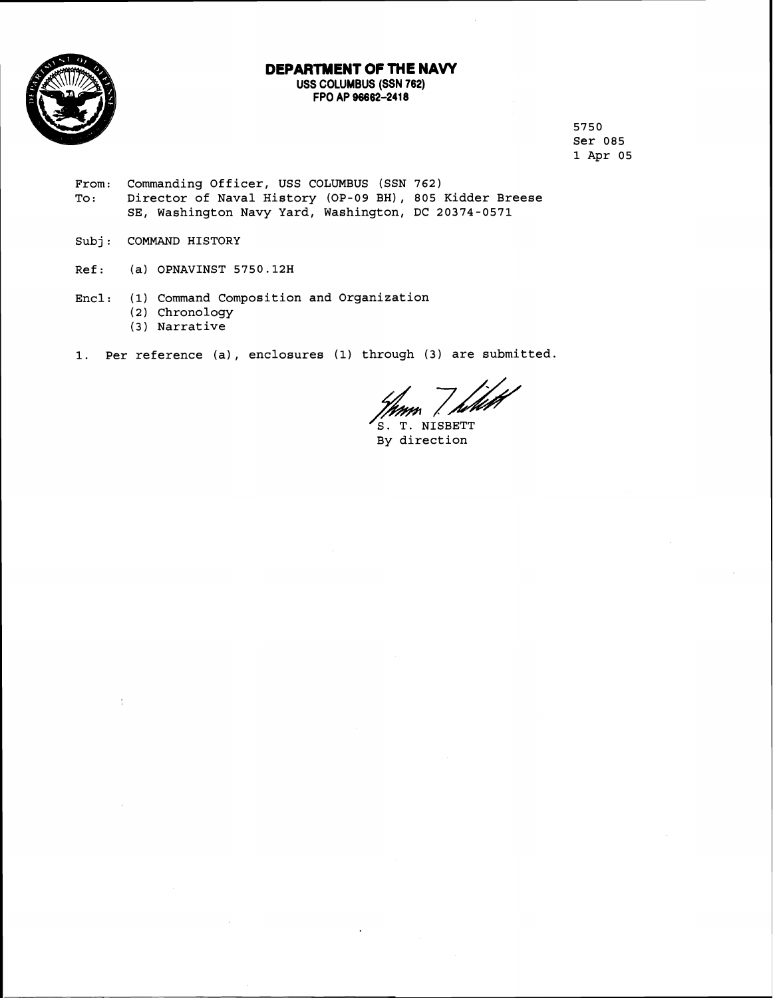

## **DEPARTMENT OF THE NAW**

**USS COLUMBUS (SSN 762) FPO AP 96662-2418** 

> 5750 ser 085 1 Apr 05

- From: Commanding Officer, USS COLUMBUS (SSN 762)<br>To: Director of Naval History (OP-09 BH), 805 To: Director of Naval History (OP-09 BH), 805 Kidder Breese<br>SE, Washington Navy Yard, Washington, DC 20374-0571
- Subj: COMMAND HISTORY

 $\frac{1}{4}$ 

- Ref: (a) OPNAVINST 5750.12H
- Encl: (1) Command Composition and Organization (2) Chronology
	- (3 ) Narrative
- **1.** Per reference (a), enclosures **(1)** through (3) are submitted.

f<sub>ilet</sub> f

 $\begin{array}{c} \text{S. T. NISBETT} \\ \text{By direction} \end{array}$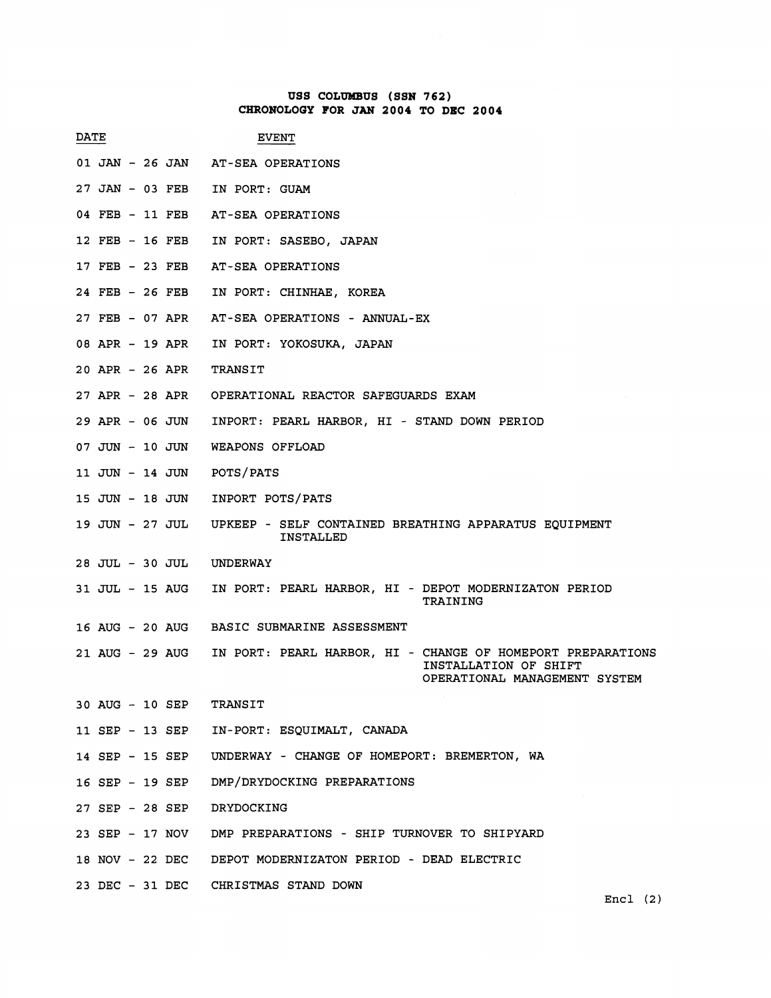## **USS COLUtdBUS (SSN 762) CHRONOLOGY FOR JAN 2004 TO DEC 2004**

|                            | CHRONOLOGY FOR JAN 2004 TO DEC 2004                                                                                   |
|----------------------------|-----------------------------------------------------------------------------------------------------------------------|
| DATE                       | <b>EVENT</b>                                                                                                          |
|                            | 01 JAN - 26 JAN AT-SEA OPERATIONS                                                                                     |
| 27 JAN - 03 FEB            | IN PORT: GUAM                                                                                                         |
| 04 FEB - 11 FEB            | AT-SEA OPERATIONS                                                                                                     |
| 12 FEB - 16 FEB            | IN PORT: SASEBO, JAPAN                                                                                                |
| 17 FEB - 23 FEB            | AT-SEA OPERATIONS                                                                                                     |
| 24 FEB - 26 FEB            | IN PORT: CHINHAE, KOREA                                                                                               |
|                            | 27 FEB - 07 APR AT-SEA OPERATIONS - ANNUAL-EX                                                                         |
| 08 APR - 19 APR            | IN PORT: YOKOSUKA, JAPAN                                                                                              |
| 20 APR - 26 APR            | <b>TRANSIT</b>                                                                                                        |
|                            | 27 APR - 28 APR OPERATIONAL REACTOR SAFEGUARDS EXAM                                                                   |
| 29 APR - 06 JUN            | INPORT: PEARL HARBOR, HI - STAND DOWN PERIOD                                                                          |
| 07 JUN - 10 JUN            | WEAPONS OFFLOAD                                                                                                       |
| 11 JUN - 14 JUN            | POTS/PATS                                                                                                             |
| 15 JUN - 18 JUN            | INPORT POTS/PATS                                                                                                      |
| 19 JUN - 27 JUL            | UPKEEP - SELF CONTAINED BREATHING APPARATUS EQUIPMENT<br>INSTALLED                                                    |
| 28 JUL - 30 JUL            | UNDERWAY                                                                                                              |
| 31 JUL - 15 AUG            | IN PORT: PEARL HARBOR, HI - DEPOT MODERNIZATON PERIOD<br>TRAINING                                                     |
|                            | 16 AUG - 20 AUG BASIC SUBMARINE ASSESSMENT                                                                            |
| 21 AUG - 29 AUG            | IN PORT: PEARL HARBOR, HI - CHANGE OF HOMEPORT PREPARATIONS<br>INSTALLATION OF SHIFT<br>OPERATIONAL MANAGEMENT SYSTEM |
| 30 AUG - 10 SEP            | TRANSIT                                                                                                               |
|                            | 11 SEP - 13 SEP IN-PORT: ESQUIMALT, CANADA                                                                            |
|                            | 14 SEP - 15 SEP UNDERWAY - CHANGE OF HOMEPORT: BREMERTON, WA                                                          |
|                            | 16 SEP - 19 SEP DMP/DRYDOCKING PREPARATIONS                                                                           |
| 27 SEP - 28 SEP DRYDOCKING |                                                                                                                       |
|                            | 23 SEP - 17 NOV DMP PREPARATIONS - SHIP TURNOVER TO SHIPYARD                                                          |
|                            | 18 NOV - 22 DEC DEPOT MODERNIZATON PERIOD - DEAD ELECTRIC                                                             |
|                            | 23 DEC - 31 DEC CHRISTMAS STAND DOWN                                                                                  |

**Encl (2)**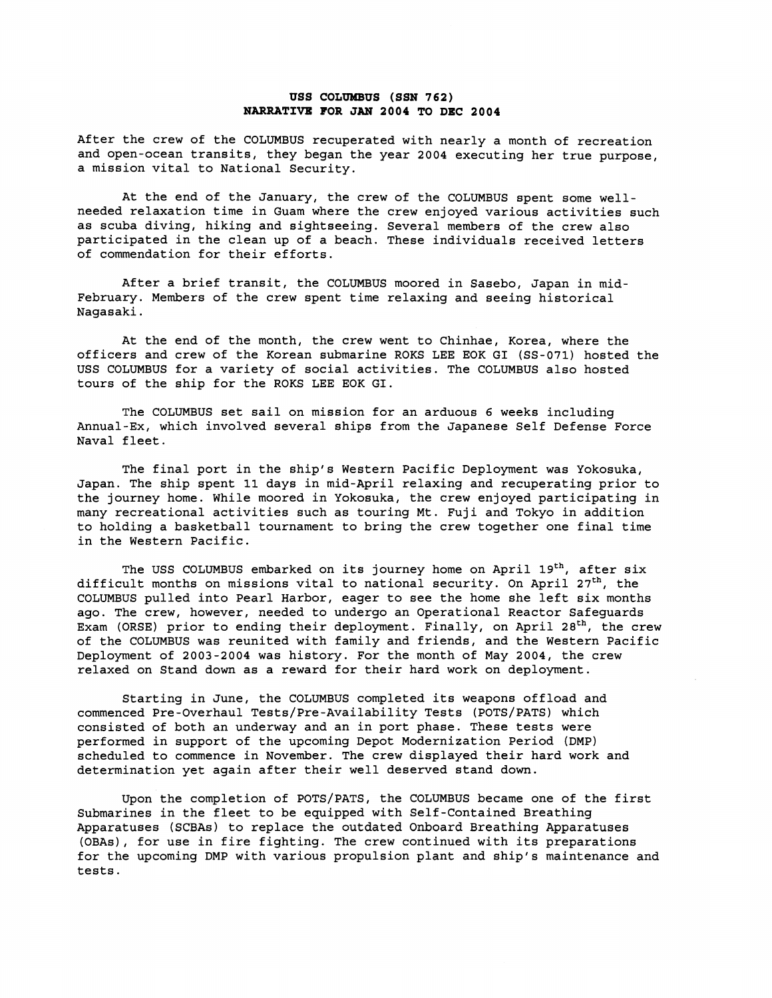## **uss coLmns (SSN 762) NARRATIVE FOR JAN 2004 TO DEC 2004**

After the crew of the COLUMBUS recuperated with nearly a month of recreation and open-ocean transits, they began the year 2004 executing her true purpose, a mission vital to National Security.

At the end of the January, the crew of the COLUMBUS spent some wellneeded relaxation time in Guam where the crew enjoyed various activities such as scuba diving, hiking and sightseeing. Several members of the crew also participated in the clean up of a beach. These individuals received letters of commendation for their efforts.

After a brief transit, the COLUMBUS moored in Sasebo, Japan in mid-February. Members of the crew spent time relaxing and seeing historical Nagasaki.

At the end of the month, the crew went to Chinhae, Korea, where the officers and crew of the Korean submarine ROKS LEE EOK GI (SS-071) hosted the USS COLUMBUS for a variety of social activities. The COLUMBUS also hosted tours of the ship for the ROKS LEE EOK GI.

The COLUMBUS set sail on mission for an arduous 6 weeks including Annual-Ex, which involved several ships from the Japanese Self Defense Force Naval fleet.

The final port in the ship's Western Pacific Deployment was Yokosuka, Japan. The ship spent 11 days in mid-April relaxing and recuperating prior to the journey home. While moored in Yokosuka, the crew enjoyed participating in many recreational activities such as touring Mt. Fuji and Tokyo in addition to holding a basketball tournament to bring the crew together one final time in the Western Pacific.

The USS COLUMBUS embarked on its journey home on April  $19^{th}$ , after six difficult months on missions vital to national security. On April 27<sup>th</sup>, the COLUMBUS pulled into Pearl Harbor, eager to see the home she left six months ago. The crew, however, needed to undergo an Operational Reactor Safeguards Exam (ORSE) prior to ending their deployment. Finally, on April 28<sup>th</sup>, the crew of the COLUMBUS was reunited with family and friends, and the Western Pacific Deployment of 2003-2004 was history. For the month of May 2004, the crew relaxed on Stand down as a reward for their hard work on deployment.

Starting in June, the COLUMBUS completed its weapons offload and commenced Pre-Overhaul Tests/Pre-Availability Tests (POTS/PATS) which consisted of both an underway and an in port phase. These tests were performed in support of the upcoming Depot Modernization Period (DMP) scheduled to commence in November. The crew displayed their hard work and determination yet again after their well deserved stand down.

Upon the completion of POTS/PATS, the COLUMBUS became one of the first Submarines in the fleet to be equipped with Self-Contained Breathing Apparatuses (SCBAs) to replace the outdated Onboard Breathing Apparatuses (OBAs), for use in fire fighting. The crew continued with its preparations for the upcoming DMP with various propulsion plant and ship's maintenance and tests.